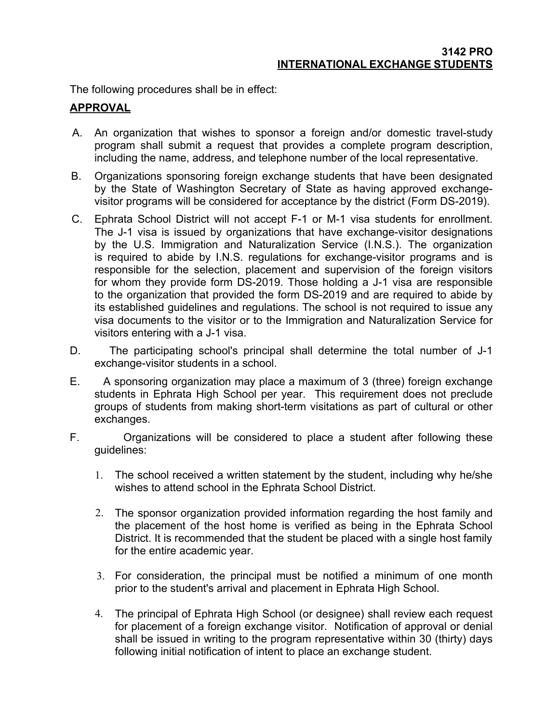The following procedures shall be in effect:

## **APPROVAL**

- A. An organization that wishes to sponsor a foreign and/or domestic travel-study program shall submit a request that provides a complete program description, including the name, address, and telephone number of the local representative.
- B. Organizations sponsoring foreign exchange students that have been designated by the State of Washington Secretary of State as having approved exchangevisitor programs will be considered for acceptance by the district (Form DS-2019).
- C. Ephrata School District will not accept F-1 or M-1 visa students for enrollment. The J-1 visa is issued by organizations that have exchange-visitor designations by the U.S. Immigration and Naturalization Service (I.N.S.). The organization is required to abide by I.N.S. regulations for exchange-visitor programs and is responsible for the selection, placement and supervision of the foreign visitors for whom they provide form DS-2019. Those holding a J-1 visa are responsible to the organization that provided the form DS-2019 and are required to abide by its established guidelines and regulations. The school is not required to issue any visa documents to the visitor or to the Immigration and Naturalization Service for visitors entering with a J-1 visa.
- D. The participating school's principal shall determine the total number of J-1 exchange-visitor students in a school.
- E. A sponsoring organization may place a maximum of 3 (three) foreign exchange students in Ephrata High School per year. This requirement does not preclude groups of students from making short-term visitations as part of cultural or other exchanges.
- F. Organizations will be considered to place a student after following these guidelines:
	- 1. The school received a written statement by the student, including why he/she wishes to attend school in the Ephrata School District.
	- 2. The sponsor organization provided information regarding the host family and the placement of the host home is verified as being in the Ephrata School District. It is recommended that the student be placed with a single host family for the entire academic year.
	- 3. For consideration, the principal must be notified a minimum of one month prior to the student's arrival and placement in Ephrata High School.
	- 4. The principal of Ephrata High School (or designee) shall review each request for placement of a foreign exchange visitor. Notification of approval or denial shall be issued in writing to the program representative within 30 (thirty) days following initial notification of intent to place an exchange student.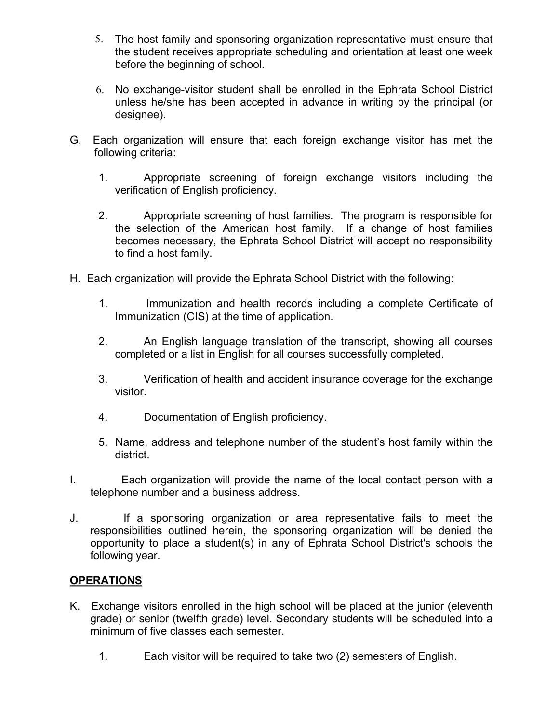- 5. The host family and sponsoring organization representative must ensure that the student receives appropriate scheduling and orientation at least one week before the beginning of school.
- 6. No exchange-visitor student shall be enrolled in the Ephrata School District unless he/she has been accepted in advance in writing by the principal (or designee).
- G. Each organization will ensure that each foreign exchange visitor has met the following criteria:
	- 1. Appropriate screening of foreign exchange visitors including the verification of English proficiency.
	- 2. Appropriate screening of host families. The program is responsible for the selection of the American host family. If a change of host families becomes necessary, the Ephrata School District will accept no responsibility to find a host family.
- H. Each organization will provide the Ephrata School District with the following:
	- 1. Immunization and health records including a complete Certificate of Immunization (CIS) at the time of application.
	- 2. An English language translation of the transcript, showing all courses completed or a list in English for all courses successfully completed.
	- 3. Verification of health and accident insurance coverage for the exchange visitor.
	- 4. Documentation of English proficiency.
	- 5. Name, address and telephone number of the student's host family within the district.
- I. Each organization will provide the name of the local contact person with a telephone number and a business address.
- J. If a sponsoring organization or area representative fails to meet the responsibilities outlined herein, the sponsoring organization will be denied the opportunity to place a student(s) in any of Ephrata School District's schools the following year.

## **OPERATIONS**

- K. Exchange visitors enrolled in the high school will be placed at the junior (eleventh grade) or senior (twelfth grade) level. Secondary students will be scheduled into a minimum of five classes each semester.
	- 1. Each visitor will be required to take two (2) semesters of English.